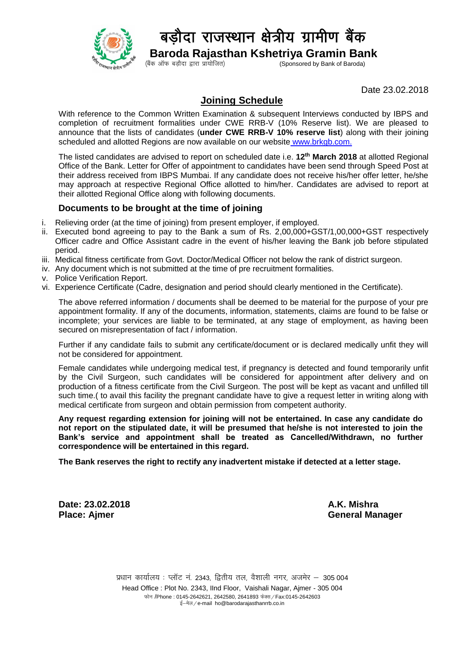

## बडौदा राजस्थान क्षेत्रीय ग्रामीण बैंक

**Baroda Rajasthan Kshetriya Gramin Bank**<br>(Sponsored by Bank of Baroda) (Sponsored by Bank of Baroda)

Date 23.02.2018

## **Joining Schedule**

With reference to the Common Written Examination & subsequent Interviews conducted by IBPS and completion of recruitment formalities under CWE RRB-V (10% Reserve list). We are pleased to announce that the lists of candidates (**under CWE RRB-V 10% reserve list**) along with their joining scheduled and allotted Regions are now available on our website [www.brkgb.com.](http://www.brkgb.com/)

The listed candidates are advised to report on scheduled date i.e. **12 th March 2018** at allotted Regional Office of the Bank. Letter for Offer of appointment to candidates have been send through Speed Post at their address received from IBPS Mumbai. If any candidate does not receive his/her offer letter, he/she may approach at respective Regional Office allotted to him/her. Candidates are advised to report at their allotted Regional Office along with following documents.

## **Documents to be brought at the time of joining**

- i. Relieving order (at the time of joining) from present employer, if employed.
- ii. Executed bond agreeing to pay to the Bank a sum of Rs. 2,00,000+GST/1,00,000+GST respectively Officer cadre and Office Assistant cadre in the event of his/her leaving the Bank job before stipulated period.
- iii. Medical fitness certificate from Govt. Doctor/Medical Officer not below the rank of district surgeon.
- iv. Any document which is not submitted at the time of pre recruitment formalities.
- v. Police Verification Report.
- vi. Experience Certificate (Cadre, designation and period should clearly mentioned in the Certificate).

The above referred information / documents shall be deemed to be material for the purpose of your pre appointment formality. If any of the documents, information, statements, claims are found to be false or incomplete; your services are liable to be terminated, at any stage of employment, as having been secured on misrepresentation of fact / information.

Further if any candidate fails to submit any certificate/document or is declared medically unfit they will not be considered for appointment.

Female candidates while undergoing medical test, if pregnancy is detected and found temporarily unfit by the Civil Surgeon, such candidates will be considered for appointment after delivery and on production of a fitness certificate from the Civil Surgeon. The post will be kept as vacant and unfilled till such time.( to avail this facility the pregnant candidate have to give a request letter in writing along with medical certificate from surgeon and obtain permission from competent authority.

**Any request regarding extension for joining will not be entertained. In case any candidate do not report on the stipulated date, it will be presumed that he/she is not interested to join the Bank's service and appointment shall be treated as Cancelled/Withdrawn, no further correspondence will be entertained in this regard.**

**The Bank reserves the right to rectify any inadvertent mistake if detected at a letter stage.**

**Date: 23.02.2018 A.K. Mishra**

**Place: Ajmer General Manager**

प्रधान कार्यालय : प्लॉट नं. 2343, द्वितीय तल, वैशाली नगर, अजमेर - 305 004 Head Office : Plot No. 2343, IInd Floor, Vaishali Nagar, Ajmer - 305 004 फोन /Phone : 0145-2642621, 2642580, 2641893 फेक्स / Fax:0145-2642603 ई-मेल/e-mail ho@barodarajasthanrrb.co.in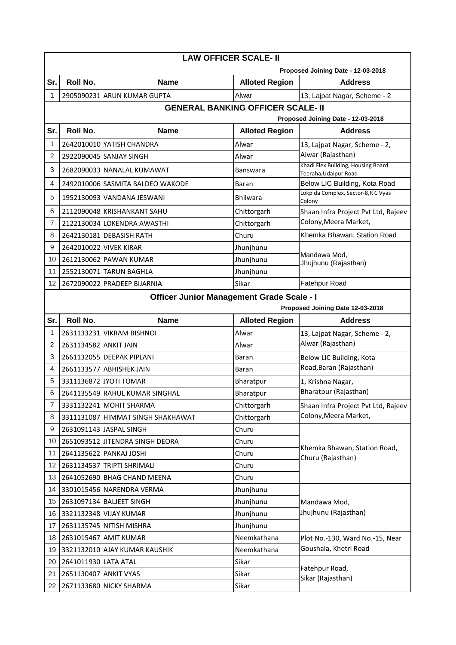|                                                                                | <b>LAW OFFICER SCALE- II</b>                                                  |                                   |                       |                                                             |  |  |  |
|--------------------------------------------------------------------------------|-------------------------------------------------------------------------------|-----------------------------------|-----------------------|-------------------------------------------------------------|--|--|--|
|                                                                                |                                                                               |                                   |                       | Proposed Joining Date - 12-03-2018                          |  |  |  |
| Sr.                                                                            | Roll No.                                                                      | <b>Name</b>                       | <b>Alloted Region</b> | <b>Address</b>                                              |  |  |  |
| 1                                                                              |                                                                               | 2905090231 ARUN KUMAR GUPTA       | Alwar                 | 13, Lajpat Nagar, Scheme - 2                                |  |  |  |
| <b>GENERAL BANKING OFFICER SCALE- II</b><br>Proposed Joining Date - 12-03-2018 |                                                                               |                                   |                       |                                                             |  |  |  |
| Sr.                                                                            | Roll No.                                                                      | <b>Name</b>                       | <b>Alloted Region</b> | <b>Address</b>                                              |  |  |  |
| 1                                                                              |                                                                               | 2642010010 YATISH CHANDRA         | Alwar                 | 13, Lajpat Nagar, Scheme - 2,                               |  |  |  |
| $\overline{c}$                                                                 |                                                                               | 2922090045 SANJAY SINGH           | Alwar                 | Alwar (Rajasthan)                                           |  |  |  |
| 3                                                                              |                                                                               | 2682090033 NANALAL KUMAWAT        | Banswara              | Khadi Flex Building, Housing Board<br>Teeraha, Udaipur Road |  |  |  |
| 4                                                                              |                                                                               | 2492010006 SASMITA BALDEO WAKODE  | Baran                 | Below LIC Building, Kota Road                               |  |  |  |
| 5                                                                              |                                                                               | 1952130093 VANDANA JESWANI        | <b>Bhilwara</b>       | Lokpida Complex, Sector-8, R C Vyas<br>Colony               |  |  |  |
| 6                                                                              |                                                                               | 2112090048 KRISHANKANT SAHU       | Chittorgarh           | Shaan Infra Project Pvt Ltd, Rajeev                         |  |  |  |
| 7                                                                              |                                                                               | 2122130034 LOKENDRA AWASTHI       | Chittorgarh           | Colony, Meera Market,                                       |  |  |  |
| 8                                                                              |                                                                               | 2642130181 DEBASISH RATH          | Churu                 | Khemka Bhawan, Station Road                                 |  |  |  |
| 9                                                                              | 2642010022 VIVEK KIRAR                                                        |                                   | Jhunjhunu             |                                                             |  |  |  |
| 10                                                                             |                                                                               | 2612130062 PAWAN KUMAR            | Jhunjhunu             | Mandawa Mod,                                                |  |  |  |
| 11                                                                             |                                                                               | 2552130071 TARUN BAGHLA           | Jhunjhunu             | Jhujhunu (Rajasthan)                                        |  |  |  |
| 12                                                                             |                                                                               | 2672090022 PRADEEP BIJARNIA       | Sikar                 | <b>Fatehpur Road</b>                                        |  |  |  |
|                                                                                |                                                                               |                                   |                       |                                                             |  |  |  |
|                                                                                | Officer Junior Management Grade Scale - I<br>Proposed Joining Date 12-03-2018 |                                   |                       |                                                             |  |  |  |
| Sr.                                                                            | <b>Roll No.</b>                                                               | <b>Name</b>                       | <b>Alloted Region</b> | <b>Address</b>                                              |  |  |  |
| 1                                                                              |                                                                               | 2631133231 VIKRAM BISHNOI         | Alwar                 | 13, Lajpat Nagar, Scheme - 2,                               |  |  |  |
| 2                                                                              | 2631134582 ANKIT JAIN                                                         |                                   |                       | Alwar (Rajasthan)                                           |  |  |  |
|                                                                                |                                                                               |                                   | Alwar                 |                                                             |  |  |  |
| 3                                                                              |                                                                               | 2661132055 DEEPAK PIPLANI         | Baran                 | Below LIC Building, Kota                                    |  |  |  |
| 4                                                                              |                                                                               | 2661133577 ABHISHEK JAIN          | Baran                 | Road, Baran (Rajasthan)                                     |  |  |  |
| 5                                                                              |                                                                               | 3311136872 JYOTI TOMAR            | Bharatpur             | 1, Krishna Nagar,                                           |  |  |  |
| 6                                                                              |                                                                               | 2641135549 RAHUL KUMAR SINGHAL    | Bharatpur             | Bharatpur (Rajasthan)                                       |  |  |  |
| 7                                                                              |                                                                               | 3331132241 MOHIT SHARMA           | Chittorgarh           | Shaan Infra Project Pvt Ltd, Rajeev                         |  |  |  |
| 8                                                                              |                                                                               | 3311131087 HIMMAT SINGH SHAKHAWAT | Chittorgarh           | Colony, Meera Market,                                       |  |  |  |
| 9                                                                              |                                                                               | 2631091143 JASPAL SINGH           | Churu                 |                                                             |  |  |  |
| 10                                                                             |                                                                               | 2651093512 JITENDRA SINGH DEORA   | Churu                 |                                                             |  |  |  |
| 11                                                                             |                                                                               | 2641135622 PANKAJ JOSHI           | Churu                 | Khemka Bhawan, Station Road,                                |  |  |  |
| 12                                                                             |                                                                               | 2631134537 TRIPTI SHRIMALI        | Churu                 | Churu (Rajasthan)                                           |  |  |  |
| 13                                                                             |                                                                               | 2641052690 BHAG CHAND MEENA       | Churu                 |                                                             |  |  |  |
| 14                                                                             |                                                                               | 3301015456 NARENDRA VERMA         | Jhunjhunu             |                                                             |  |  |  |
| 15                                                                             |                                                                               | 2631097134 BALJEET SINGH          | Jhunjhunu             | Mandawa Mod,                                                |  |  |  |
| 16                                                                             |                                                                               | 3321132348 VIJAY KUMAR            | Jhunjhunu             | Jhujhunu (Rajasthan)                                        |  |  |  |
| 17                                                                             |                                                                               | 2631135745 NITISH MISHRA          | Jhunjhunu             |                                                             |  |  |  |
| 18                                                                             |                                                                               | 2631015467 AMIT KUMAR             | Neemkathana           | Plot No.-130, Ward No.-15, Near                             |  |  |  |
| 19                                                                             |                                                                               | 3321132010 AJAY KUMAR KAUSHIK     | Neemkathana           | Goushala, Khetri Road                                       |  |  |  |
| 20                                                                             | 2641011930 LATA ATAL                                                          |                                   | Sikar                 |                                                             |  |  |  |
| 21                                                                             | 2651130407 ANKIT VYAS                                                         |                                   | Sikar                 | Fatehpur Road,<br>Sikar (Rajasthan)                         |  |  |  |